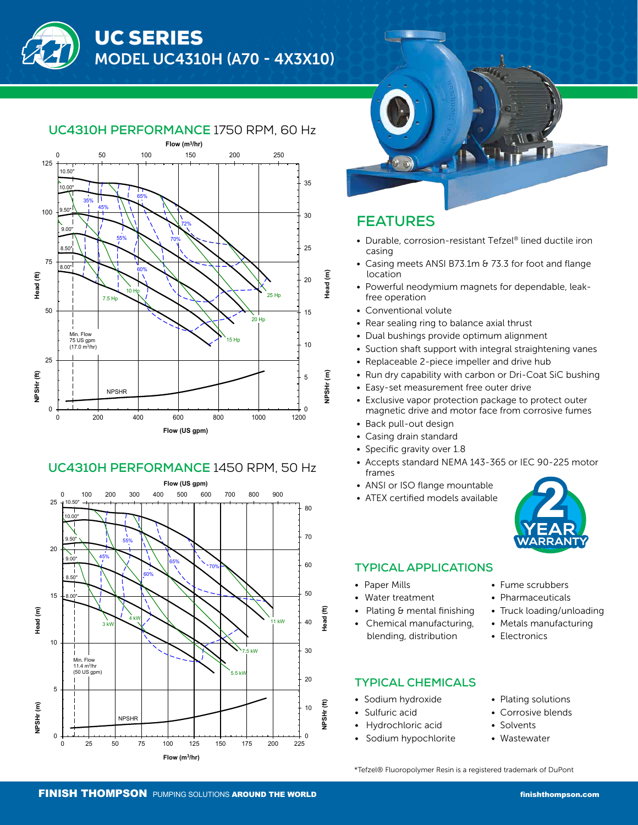

### **UC4310H PERFORMANCE** 1750 RPM, 60 Hz

### **UC4310H PERFORMANCE** 1450 RPM, 50 Hz





## **FEATURES**

- Durable, corrosion-resistant Tefzel® lined ductile iron casing
- Casing meets ANSI B73.1m & 73.3 for foot and flange location
- Powerful neodymium magnets for dependable, leak free operation
- Conventional volute
- Rear sealing ring to balance axial thrust
- Dual bushings provide optimum alignment
- Suction shaft support with integral straightening vanes
- Replaceable 2-piece impeller and drive hub
- Run dry capability with carbon or Dri-Coat SiC bushing
- Easy-set measurement free outer drive
- Exclusive vapor protection package to protect outer magnetic drive and motor face from corrosive fumes
- Back pull-out design
- Casing drain standard
- Specific gravity over 1.8
- Accepts standard NEMA 143-365 or IEC 90-225 motor frames
- ANSI or ISO flange mountable
- ATEX certified models available



#### **TYPICAL APPLICATIONS**

- Paper Mills
	- Water treatment
- Plating & mental finishing
- Chemical manufacturing, blending, distribution

#### **TYPICAL CHEMICALS**

- Sodium hydroxide
- Sulfuric acid
- Hydrochloric acid
- Sodium hypochlorite
- Fume scrubbers • Pharmaceuticals
- Truck loading/unloading
- Metals manufacturing
- Electronics
- Plating solutions
	- Corrosive blends
- Solvents
- **Wastewater**

\*Tefzel® Fluoropolymer Resin is a registered trademark of DuPont